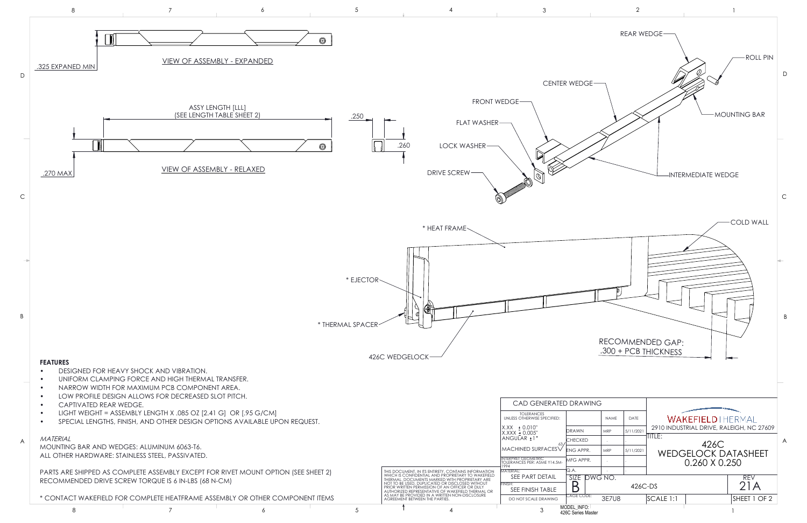